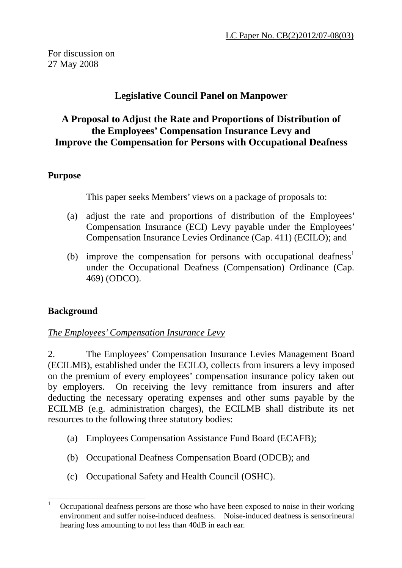# **Legislative Council Panel on Manpower**

## **A Proposal to Adjust the Rate and Proportions of Distribution of the Employees' Compensation Insurance Levy and Improve the Compensation for Persons with Occupational Deafness**

### **Purpose**

This paper seeks Members' views on a package of proposals to:

- (a) adjust the rate and proportions of distribution of the Employees' Compensation Insurance (ECI) Levy payable under the Employees' Compensation Insurance Levies Ordinance (Cap. 411) (ECILO); and
- (b) improve the compensation for persons with occupational deafness<sup>[1](#page-0-0)</sup> under the Occupational Deafness (Compensation) Ordinance (Cap. 469) (ODCO).

# **Background**

 $\overline{a}$ 

### *The Employees' Compensation Insurance Levy*

2. The Employees' Compensation Insurance Levies Management Board (ECILMB), established under the ECILO, collects from insurers a levy imposed on the premium of every employees' compensation insurance policy taken out by employers. On receiving the levy remittance from insurers and after deducting the necessary operating expenses and other sums payable by the ECILMB (e.g. administration charges), the ECILMB shall distribute its net resources to the following three statutory bodies:

- (a) Employees Compensation Assistance Fund Board (ECAFB);
- (b) Occupational Deafness Compensation Board (ODCB); and
- (c) Occupational Safety and Health Council (OSHC).

<span id="page-0-0"></span><sup>1</sup> Occupational deafness persons are those who have been exposed to noise in their working environment and suffer noise-induced deafness. Noise-induced deafness is sensorineural hearing loss amounting to not less than 40dB in each ear.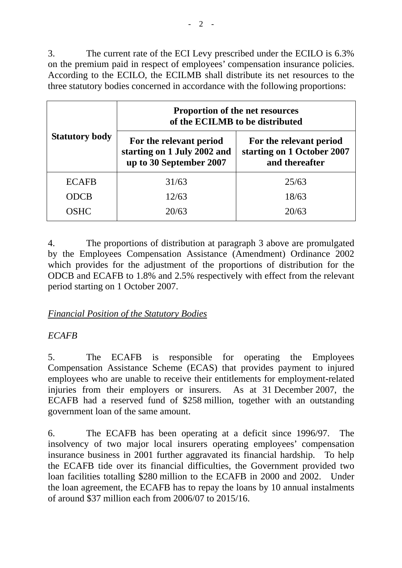3. The current rate of the ECI Levy prescribed under the ECILO is 6.3% on the premium paid in respect of employees' compensation insurance policies. According to the ECILO, the ECILMB shall distribute its net resources to the three statutory bodies concerned in accordance with the following proportions:

| <b>Statutory body</b> | <b>Proportion of the net resources</b><br>of the ECILMB to be distributed         |                                                                         |
|-----------------------|-----------------------------------------------------------------------------------|-------------------------------------------------------------------------|
|                       | For the relevant period<br>starting on 1 July 2002 and<br>up to 30 September 2007 | For the relevant period<br>starting on 1 October 2007<br>and thereafter |
| <b>ECAFB</b>          | 31/63                                                                             | 25/63                                                                   |
| <b>ODCB</b>           | 12/63                                                                             | 18/63                                                                   |
| <b>OSHC</b>           | 20/63                                                                             | 20/63                                                                   |

4. The proportions of distribution at paragraph 3 above are promulgated by the Employees Compensation Assistance (Amendment) Ordinance 2002 which provides for the adjustment of the proportions of distribution for the ODCB and ECAFB to 1.8% and 2.5% respectively with effect from the relevant period starting on 1 October 2007.

### *Financial Position of the Statutory Bodies*

# *ECAFB*

5. The ECAFB is responsible for operating the Employees Compensation Assistance Scheme (ECAS) that provides payment to injured employees who are unable to receive their entitlements for employment-related injuries from their employers or insurers. As at 31 December 2007, the ECAFB had a reserved fund of \$258 million, together with an outstanding government loan of the same amount.

6. The ECAFB has been operating at a deficit since 1996/97. The insolvency of two major local insurers operating employees' compensation insurance business in 2001 further aggravated its financial hardship. To help the ECAFB tide over its financial difficulties, the Government provided two loan facilities totalling \$280 million to the ECAFB in 2000 and 2002. Under the loan agreement, the ECAFB has to repay the loans by 10 annual instalments of around \$37 million each from 2006/07 to 2015/16.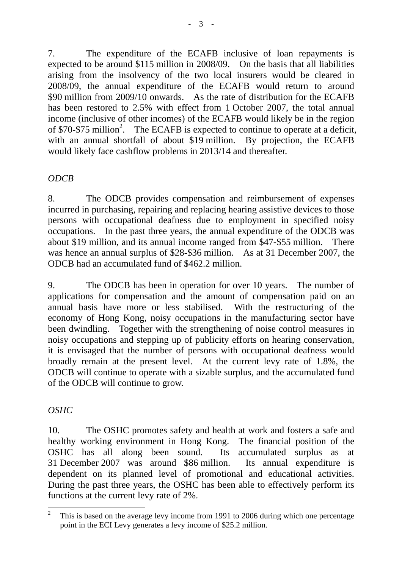7. The expenditure of the ECAFB inclusive of loan repayments is expected to be around \$115 million in 2008/09. On the basis that all liabilities arising from the insolvency of the two local insurers would be cleared in 2008/09, the annual expenditure of the ECAFB would return to around \$90 million from 2009/10 onwards. As the rate of distribution for the ECAFB has been restored to 2.5% with effect from 1 October 2007, the total annual income (inclusive of other incomes) of the ECAFB would likely be in the region of \$70-\$75 million<sup>[2](#page-2-0)</sup>. The ECAFB is expected to continue to operate at a deficit, with an annual shortfall of about \$19 million. By projection, the ECAFB would likely face cashflow problems in 2013/14 and thereafter.

## *ODCB*

8. The ODCB provides compensation and reimbursement of expenses incurred in purchasing, repairing and replacing hearing assistive devices to those persons with occupational deafness due to employment in specified noisy occupations. In the past three years, the annual expenditure of the ODCB was about \$19 million, and its annual income ranged from \$47-\$55 million. There was hence an annual surplus of \$28-\$36 million. As at 31 December 2007, the ODCB had an accumulated fund of \$462.2 million.

9. The ODCB has been in operation for over 10 years. The number of applications for compensation and the amount of compensation paid on an annual basis have more or less stabilised. With the restructuring of the economy of Hong Kong, noisy occupations in the manufacturing sector have been dwindling. Together with the strengthening of noise control measures in noisy occupations and stepping up of publicity efforts on hearing conservation, it is envisaged that the number of persons with occupational deafness would broadly remain at the present level. At the current levy rate of 1.8%, the ODCB will continue to operate with a sizable surplus, and the accumulated fund of the ODCB will continue to grow.

# *OSHC*

10. The OSHC promotes safety and health at work and fosters a safe and healthy working environment in Hong Kong. The financial position of the OSHC has all along been sound. Its accumulated surplus as at 31 December 2007 was around \$86 million. Its annual expenditure is dependent on its planned level of promotional and educational activities. During the past three years, the OSHC has been able to effectively perform its functions at the current levy rate of 2%.

<span id="page-2-0"></span> $\overline{a}$ <sup>2</sup> This is based on the average levy income from 1991 to 2006 during which one percentage point in the ECI Levy generates a levy income of \$25.2 million.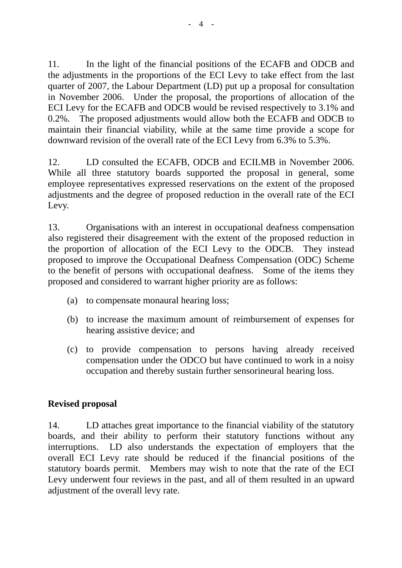11. In the light of the financial positions of the ECAFB and ODCB and the adjustments in the proportions of the ECI Levy to take effect from the last quarter of 2007, the Labour Department (LD) put up a proposal for consultation in November 2006. Under the proposal, the proportions of allocation of the ECI Levy for the ECAFB and ODCB would be revised respectively to 3.1% and 0.2%. The proposed adjustments would allow both the ECAFB and ODCB to maintain their financial viability, while at the same time provide a scope for downward revision of the overall rate of the ECI Levy from 6.3% to 5.3%.

12. LD consulted the ECAFB, ODCB and ECILMB in November 2006. While all three statutory boards supported the proposal in general, some employee representatives expressed reservations on the extent of the proposed adjustments and the degree of proposed reduction in the overall rate of the ECI Levy.

13. Organisations with an interest in occupational deafness compensation also registered their disagreement with the extent of the proposed reduction in the proportion of allocation of the ECI Levy to the ODCB. They instead proposed to improve the Occupational Deafness Compensation (ODC) Scheme to the benefit of persons with occupational deafness. Some of the items they proposed and considered to warrant higher priority are as follows:

- (a) to compensate monaural hearing loss;
- (b) to increase the maximum amount of reimbursement of expenses for hearing assistive device; and
- (c) to provide compensation to persons having already received compensation under the ODCO but have continued to work in a noisy occupation and thereby sustain further sensorineural hearing loss.

### **Revised proposal**

14. LD attaches great importance to the financial viability of the statutory boards, and their ability to perform their statutory functions without any interruptions. LD also understands the expectation of employers that the overall ECI Levy rate should be reduced if the financial positions of the statutory boards permit. Members may wish to note that the rate of the ECI Levy underwent four reviews in the past, and all of them resulted in an upward adjustment of the overall levy rate.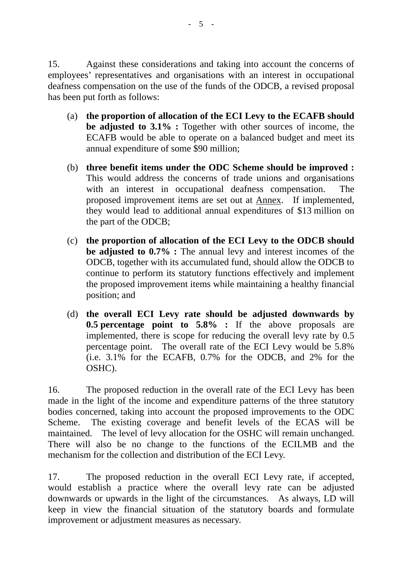15. Against these considerations and taking into account the concerns of employees' representatives and organisations with an interest in occupational deafness compensation on the use of the funds of the ODCB, a revised proposal has been put forth as follows:

- (a) **the proportion of allocation of the ECI Levy to the ECAFB should be adjusted to 3.1% :** Together with other sources of income, the ECAFB would be able to operate on a balanced budget and meet its annual expenditure of some \$90 million;
- (b) **three benefit items under the ODC Scheme should be improved :** This would address the concerns of trade unions and organisations with an interest in occupational deafness compensation. The proposed improvement items are set out at Annex. If implemented, they would lead to additional annual expenditures of \$13 million on the part of the ODCB;
- (c) **the proportion of allocation of the ECI Levy to the ODCB should be adjusted to 0.7% :** The annual levy and interest incomes of the ODCB, together with its accumulated fund, should allow the ODCB to continue to perform its statutory functions effectively and implement the proposed improvement items while maintaining a healthy financial position; and
- (d) **the overall ECI Levy rate should be adjusted downwards by 0.5 percentage point to 5.8% :** If the above proposals are implemented, there is scope for reducing the overall levy rate by 0.5 percentage point. The overall rate of the ECI Levy would be 5.8% (i.e. 3.1% for the ECAFB, 0.7% for the ODCB, and 2% for the OSHC).

16. The proposed reduction in the overall rate of the ECI Levy has been made in the light of the income and expenditure patterns of the three statutory bodies concerned, taking into account the proposed improvements to the ODC Scheme. The existing coverage and benefit levels of the ECAS will be maintained. The level of levy allocation for the OSHC will remain unchanged. There will also be no change to the functions of the ECILMB and the mechanism for the collection and distribution of the ECI Levy.

17. The proposed reduction in the overall ECI Levy rate, if accepted, would establish a practice where the overall levy rate can be adjusted downwards or upwards in the light of the circumstances. As always, LD will keep in view the financial situation of the statutory boards and formulate improvement or adjustment measures as necessary.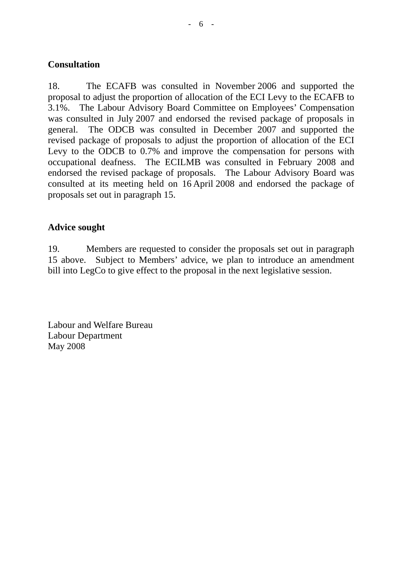#### **Consultation**

18. The ECAFB was consulted in November 2006 and supported the proposal to adjust the proportion of allocation of the ECI Levy to the ECAFB to 3.1%. The Labour Advisory Board Committee on Employees' Compensation was consulted in July 2007 and endorsed the revised package of proposals in general. The ODCB was consulted in December 2007 and supported the revised package of proposals to adjust the proportion of allocation of the ECI Levy to the ODCB to 0.7% and improve the compensation for persons with occupational deafness. The ECILMB was consulted in February 2008 and endorsed the revised package of proposals. The Labour Advisory Board was consulted at its meeting held on 16 April 2008 and endorsed the package of proposals set out in paragraph 15.

#### **Advice sought**

19. Members are requested to consider the proposals set out in paragraph 15 above. Subject to Members' advice, we plan to introduce an amendment bill into LegCo to give effect to the proposal in the next legislative session.

Labour and Welfare Bureau Labour Department May 2008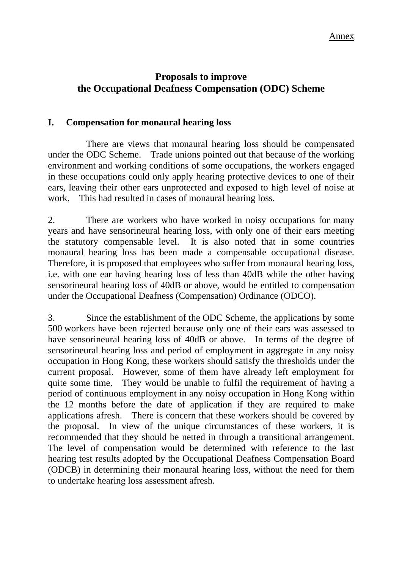### **Proposals to improve the Occupational Deafness Compensation (ODC) Scheme**

#### **I. Compensation for monaural hearing loss**

 There are views that monaural hearing loss should be compensated under the ODC Scheme. Trade unions pointed out that because of the working environment and working conditions of some occupations, the workers engaged in these occupations could only apply hearing protective devices to one of their ears, leaving their other ears unprotected and exposed to high level of noise at work. This had resulted in cases of monaural hearing loss.

2. There are workers who have worked in noisy occupations for many years and have sensorineural hearing loss, with only one of their ears meeting the statutory compensable level. It is also noted that in some countries monaural hearing loss has been made a compensable occupational disease. Therefore, it is proposed that employees who suffer from monaural hearing loss, i.e. with one ear having hearing loss of less than 40dB while the other having sensorineural hearing loss of 40dB or above, would be entitled to compensation under the Occupational Deafness (Compensation) Ordinance (ODCO).

3. Since the establishment of the ODC Scheme, the applications by some 500 workers have been rejected because only one of their ears was assessed to have sensorineural hearing loss of 40dB or above. In terms of the degree of sensorineural hearing loss and period of employment in aggregate in any noisy occupation in Hong Kong, these workers should satisfy the thresholds under the current proposal. However, some of them have already left employment for quite some time. They would be unable to fulfil the requirement of having a period of continuous employment in any noisy occupation in Hong Kong within the 12 months before the date of application if they are required to make applications afresh. There is concern that these workers should be covered by the proposal. In view of the unique circumstances of these workers, it is recommended that they should be netted in through a transitional arrangement. The level of compensation would be determined with reference to the last hearing test results adopted by the Occupational Deafness Compensation Board (ODCB) in determining their monaural hearing loss, without the need for them to undertake hearing loss assessment afresh.